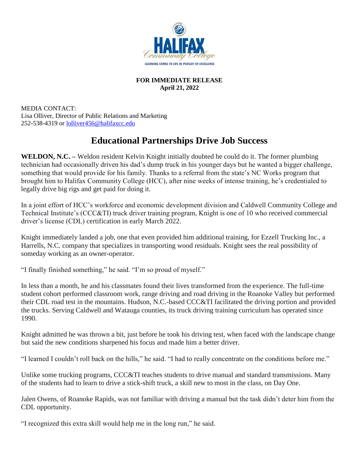

#### **FOR IMMEDIATE RELEASE April 21, 2022**

MEDIA CONTACT: Lisa Olliver, Director of Public Relations and Marketing 252-538-4319 or [lolliver456@halifaxcc.edu](mailto:lolliver456@halifaxcc.edu)

# **Educational Partnerships Drive Job Success**

**WELDON, N.C. –** Weldon resident Kelvin Knight initially doubted he could do it. The former plumbing technician had occasionally driven his dad's dump truck in his younger days but he wanted a bigger challenge, something that would provide for his family. Thanks to a referral from the state's NC Works program that brought him to Halifax Community College (HCC), after nine weeks of intense training, he's credentialed to legally drive big rigs and get paid for doing it.

In a joint effort of HCC's workforce and economic development division and Caldwell Community College and Technical Institute's (CCC&TI) truck driver training program, Knight is one of 10 who received commercial driver's license (CDL) certification in early March 2022.

Knight immediately landed a job, one that even provided him additional training, for Ezzell Trucking Inc., a Harrells, N.C. company that specializes in transporting wood residuals. Knight sees the real possibility of someday working as an owner-operator.

"I finally finished something," he said. "I'm so proud of myself."

In less than a month, he and his classmates found their lives transformed from the experience. The full-time student cohort performed classroom work, range driving and road driving in the Roanoke Valley but performed their CDL road test in the mountains. Hudson, N.C.-based CCC&TI facilitated the driving portion and provided the trucks. Serving Caldwell and Watauga counties, its truck driving training curriculum has operated since 1990.

Knight admitted he was thrown a bit, just before he took his driving test, when faced with the landscape change but said the new conditions sharpened his focus and made him a better driver.

"I learned I couldn't roll back on the hills," he said. "I had to really concentrate on the conditions before me."

Unlike some trucking programs, CCC&TI teaches students to drive manual and standard transmissions. Many of the students had to learn to drive a stick-shift truck, a skill new to most in the class, on Day One.

Jalen Owens, of Roanoke Rapids, was not familiar with driving a manual but the task didn't deter him from the CDL opportunity.

"I recognized this extra skill would help me in the long run," he said.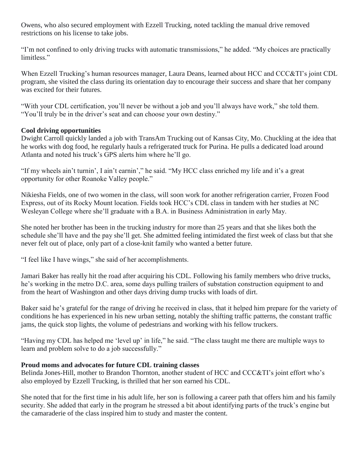Owens, who also secured employment with Ezzell Trucking, noted tackling the manual drive removed restrictions on his license to take jobs.

"I'm not confined to only driving trucks with automatic transmissions," he added. "My choices are practically limitless."

When Ezzell Trucking's human resources manager, Laura Deans, learned about HCC and CCC&TI's joint CDL program, she visited the class during its orientation day to encourage their success and share that her company was excited for their futures.

"With your CDL certification, you'll never be without a job and you'll always have work," she told them. "You'll truly be in the driver's seat and can choose your own destiny."

## **Cool driving opportunities**

Dwight Carroll quickly landed a job with TransAm Trucking out of Kansas City, Mo. Chuckling at the idea that he works with dog food, he regularly hauls a refrigerated truck for Purina. He pulls a dedicated load around Atlanta and noted his truck's GPS alerts him where he'll go.

"If my wheels ain't turnin', I ain't earnin'," he said. "My HCC class enriched my life and it's a great opportunity for other Roanoke Valley people."

Nikiesha Fields, one of two women in the class, will soon work for another refrigeration carrier, Frozen Food Express, out of its Rocky Mount location. Fields took HCC's CDL class in tandem with her studies at NC Wesleyan College where she'll graduate with a B.A. in Business Administration in early May.

She noted her brother has been in the trucking industry for more than 25 years and that she likes both the schedule she'll have and the pay she'll get. She admitted feeling intimidated the first week of class but that she never felt out of place, only part of a close-knit family who wanted a better future.

"I feel like I have wings," she said of her accomplishments.

Jamari Baker has really hit the road after acquiring his CDL. Following his family members who drive trucks, he's working in the metro D.C. area, some days pulling trailers of substation construction equipment to and from the heart of Washington and other days driving dump trucks with loads of dirt.

Baker said he's grateful for the range of driving he received in class, that it helped him prepare for the variety of conditions he has experienced in his new urban setting, notably the shifting traffic patterns, the constant traffic jams, the quick stop lights, the volume of pedestrians and working with his fellow truckers.

"Having my CDL has helped me 'level up' in life," he said. "The class taught me there are multiple ways to learn and problem solve to do a job successfully."

## **Proud moms and advocates for future CDL training classes**

Belinda Jones-Hill, mother to Brandon Thornton, another student of HCC and CCC&TI's joint effort who's also employed by Ezzell Trucking, is thrilled that her son earned his CDL.

She noted that for the first time in his adult life, her son is following a career path that offers him and his family security. She added that early in the program he stressed a bit about identifying parts of the truck's engine but the camaraderie of the class inspired him to study and master the content.